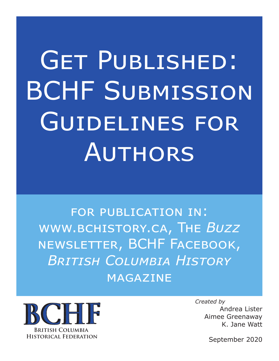# Get Published: BCHF Submission Guidelines for Authors

for publication in: www.bchistory.ca, The *Buzz* newsletter, BCHF Facebook, *British Columbia History* magazine



*Created by* Andrea Lister Aimee Greenaway K. Jane Watt

September 2020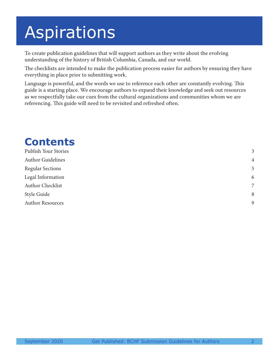## Aspirations

To create publication guidelines that will support authors as they write about the evolving understanding of the history of British Columbia, Canada, and our world.

The checklists are intended to make the publication process easier for authors by ensuring they have everything in place prior to submitting work.

Language is powerful, and the words we use to reference each other are constantly evolving. This guide is a starting place. We encourage authors to expand their knowledge and seek out resources as we respectfully take our cues from the cultural organizations and communities whom we are referencing. This guide will need to be revisited and refreshed often.

#### **Contents** Publish Your Stories 3 Author Guidelines 4 and 2008 1 and 2008 1 and 2008 1 and 2008 1 and 2008 1 and 2008 1 and 2008 1 and 2008 1 and 2008 1 and 2008 1 and 2008 1 and 2008 1 and 2008 1 and 2008 1 and 2008 1 and 2008 1 and 2008 1 and 2008 1 and Regular Sections 5 Legal Information 6 Author Checklist 7 Style Guide 8 Author Resources 9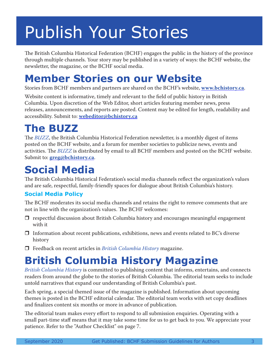### Publish Your Stories

The British Columbia Historical Federation (BCHF) engages the public in the history of the province through multiple channels. Your story may be published in a variety of ways: the BCHF website, the newsletter, the magazine, or the BCHF social media.

#### **Member Stories on our Website**

Stories from BCHF members and partners are shared on the BCHF's website, **www.bchistory.ca**.

Website content is informative, timely and relevant to the field of public history in British Columbia. Upon discretion of the Web Editor, short articles featuring member news, press releases, announcements, and reports are posted. Content may be edited for length, readability and accessibility. Submit to: **webeditor@bchistory.ca**

### **The BUZZ**

The *BUZZ*, the British Columbia Historical Federation newsletter, is a monthly digest of items posted on the BCHF website, and a forum for member societies to publicize news, events and activities. The *BUZZ* is distributed by email to all BCHF members and posted on the BCHF website. Submit to: **greg@bchistory.ca**.

### **Social Media**

The British Columbia Historical Federation's social media channels reflect the organization's values and are safe, respectful, family-friendly spaces for dialogue about British Columbia's history.

#### **Social Media Policy**

The BCHF moderates its social media channels and retains the right to remove comments that are not in line with the organization's values. The BCHF welcomes:

- $\Box$  respectful discussion about British Columbia history and encourages meaningful engagement with it
- $\Box$  Information about recent publications, exhibitions, news and events related to BC's diverse history
- Feedback on recent articles in *British Columbia History* magazine.

### **British Columbia History Magazine**

*British Columbia History* is committed to publishing content that informs, entertains, and connects readers from around the globe to the stories of British Columbia. The editorial team seeks to include untold narratives that expand our understanding of British Columbia's past.

Each spring, a special themed issue of the magazine is published. Information about upcoming themes is posted in the BCHF editorial calendar. The editorial team works with set copy deadlines and finalizes content six months or more in advance of publication.

The editorial team makes every effort to respond to all submission enquiries. Operating with a small part-time staff means that it may take some time for us to get back to you. We appreciate your patience. Refer to the "Author Checklist" on page 7.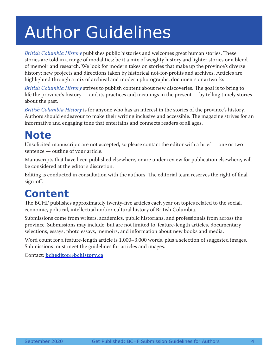### Author Guidelines

*British Columbia History* publishes public histories and welcomes great human stories. These stories are told in a range of modalities: be it a mix of weighty history and lighter stories or a blend of memoir and research. We look for modern takes on stories that make up the province's diverse history; new projects and directions taken by historical not-for-profits and archives. Articles are highlighted through a mix of archival and modern photographs, documents or artworks.

*British Columbia History* strives to publish content about new discoveries. The goal is to bring to life the province's history — and its practices and meanings in the present — by telling timely stories about the past.

*British Columbia History* is for anyone who has an interest in the stories of the province's history. Authors should endeavour to make their writing inclusive and accessible. The magazine strives for an informative and engaging tone that entertains and connects readers of all ages.

### **Note**

Unsolicited manuscripts are not accepted, so please contact the editor with a brief — one or two sentence — outline of your article.

Manuscripts that have been published elsewhere, or are under review for publication elsewhere, will be considered at the editor's discretion.

Editing is conducted in consultation with the authors. The editorial team reserves the right of final sign-off.

### **Content**

The BCHF publishes approximately twenty-five articles each year on topics related to the social, economic, political, intellectual and/or cultural history of British Columbia.

Submissions come from writers, academics, public historians, and professionals from across the province. Submissions may include, but are not limited to, feature-length articles, documentary selections, essays, photo essays, memoirs, and information about new books and media.

Word count for a feature-length article is 1,000–3,000 words, plus a selection of suggested images. Submissions must meet the guidelines for articles and images.

Contact: **bcheditor@bchistory.ca**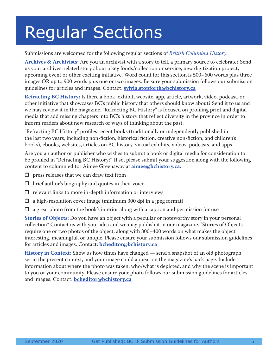### Regular Sections

#### Submissions are welcomed for the following regular sections of *British Columbia History*:

**Archives & Archivists:** Are you an archivist with a story to tell, a primary source to celebrate? Send us your archives-related story about a key fonds/collection or service, new digitization project, upcoming event or other exciting initiative. Word count for this section is 500–600 words plus three images OR up to 900 words plus one or two images. Be sure your submission follows our submission guidelines for articles and images. Contact: **sylvia.stopforth@bchistory.ca**

**Refracting BC History:** Is there a book, exhibit, website, app, article, artwork, video, podcast, or other initiative that showcases BC's public history that others should know about? Send it to us and we may review it in the magazine. "Refracting BC History" is focused on profiling print and digital media that add missing chapters into BC's history that reflect diversity in the province in order to inform readers about new research or ways of thinking about the past.

"Refracting BC History" profiles recent books (traditionally or independently published in the last two years, including non-fiction, historical fiction, creative non-fiction, and children's books), ebooks, websites, articles on BC history, virtual exhibits, videos, podcasts, and apps.

Are you an author or publisher who wishes to submit a book or digital media for consideration to be profiled in "Refracting BC History?" If so, please submit your suggestion along with the following content to column editor Aimee Greenaway at **aimee@bchistory.ca**:

- $\Box$  press releases that we can draw text from
- $\Box$  brief author's biography and quotes in their voice
- $\Box$  relevant links to more in-depth information or interviews
- $\Box$  a high-resolution cover image (minimum 300 dpi in a jpeg format)
- $\Box$  a great photo from the book's interior along with a caption and permission for use

**Stories of Objects:** Do you have an object with a peculiar or noteworthy story in your personal collection? Contact us with your idea and we may publish it in our magazine. "Stories of Objects require one or two photos of the object, along with 300–400 words on what makes the object interesting, meaningful, or unique. Please ensure your submission follows our submission guidelines for articles and images. Contact: **bcheditor@bchistory.ca**

**History in Context:** Show us how times have changed — send a snapshot of an old photograph set in the present context, and your image could appear on the magazine's back page. Include information about where the photo was taken, who/what is depicted, and why the scene is important to you or your community. Please ensure your photo follows our submission guidelines for articles and images. Contact: **bcheditor@bchistory.ca**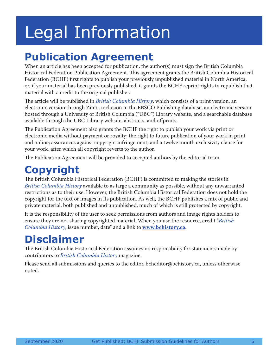# Legal Information

### **Publication Agreement**

When an article has been accepted for publication, the author(s) must sign the British Columbia Historical Federation Publication Agreement. This agreement grants the British Columbia Historical Federation (BCHF) first rights to publish your previously unpublished material in North America, or, if your material has been previously published, it grants the BCHF reprint rights to republish that material with a credit to the original publisher.

The article will be published in *British Columbia History*, which consists of a print version, an electronic version through Zinio, inclusion in the EBSCO Publishing database, an electronic version hosted through a University of British Columbia ("UBC") Library website, and a searchable database available through the UBC Library website, abstracts, and offprints.

The Publication Agreement also grants the BCHF the right to publish your work via print or electronic media without payment or royalty; the right to future publication of your work in print and online; assurances against copyright infringement; and a twelve month exclusivity clause for your work, after which all copyright reverts to the author.

The Publication Agreement will be provided to accepted authors by the editorial team.

#### **Copyright**

The British Columbia Historical Federation (BCHF) is committed to making the stories in *British Columbia History* available to as large a community as possible, without any unwarranted restrictions as to their use. However, the British Columbia Historical Federation does not hold the copyright for the text or images in its publication. As well, the BCHF publishes a mix of public and private material, both published and unpublished, much of which is still protected by copyright.

It is the responsibility of the user to seek permissions from authors and image rights holders to ensure they are not sharing copyrighted material. When you use the resource, credit "*British Columbia History*, issue number, date" and a link to **www.bchistory.ca**.

### **Disclaimer**

The British Columbia Historical Federation assumes no responsibility for statements made by contributors to *British Columbia History* magazine.

Please send all submissions and queries to the editor, bcheditor@bchistory.ca, unless otherwise noted.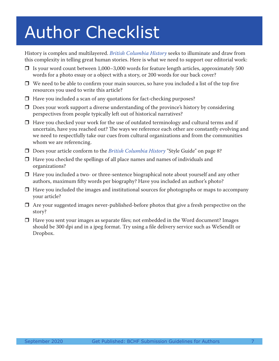# Author Checklist

History is complex and multilayered. *British Columbia History* seeks to illuminate and draw from this complexity in telling great human stories. Here is what we need to support our editorial work:

- $\Box$  Is your word count between 1,000–3,000 words for feature length articles, approximately 500 words for a photo essay or a object with a story, or 200 words for our back cover?
- $\Box$  We need to be able to confirm your main sources, so have you included a list of the top five resources you used to write this article?
- $\Box$  Have you included a scan of any quotations for fact-checking purposes?
- $\Box$  Does your work support a diverse understanding of the province's history by considering perspectives from people typically left out of historical narratives?
- $\Box$  Have you checked your work for the use of outdated terminology and cultural terms and if uncertain, have you reached out? The ways we reference each other are constantly evolving and we need to respectfully take our cues from cultural organizations and from the communities whom we are referencing.
- Does your article conform to the *British Columbia History* "Style Guide" on page 8?
- $\Box$  Have you checked the spellings of all place names and names of individuals and organizations?
- $\Box$  Have you included a two- or three-sentence biographical note about yourself and any other authors, maximum fifty words per biography? Have you included an author's photo?
- $\Box$  Have you included the images and institutional sources for photographs or maps to accompany your article?
- $\Box$  Are your suggested images never-published-before photos that give a fresh perspective on the story?
- $\Box$  Have you sent your images as separate files; not embedded in the Word document? Images should be 300 dpi and in a jpeg format. Try using a file delivery service such as WeSendIt or Dropbox.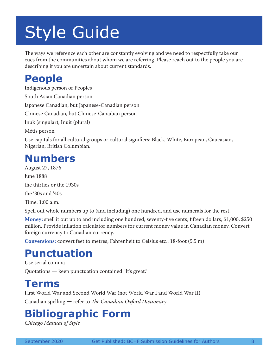# Style Guide

The ways we reference each other are constantly evolving and we need to respectfully take our cues from the communities about whom we are referring. Please reach out to the people you are describing if you are uncertain about current standards.

#### **People**

Indigenous person or Peoples South Asian Canadian person Japanese Canadian, but Japanese-Canadian person Chinese Canadian, but Chinese-Canadian person Inuk (singular), Inuit (plural) Métis person Use capitals for all cultural groups or cultural signifiers: Black, White, European, Caucasian, Nigerian, British Columbian.

#### **Numbers**

August 27, 1876 June 1888 the thirties or the 1930s the '30s and '40s

Time: 1:00 a.m.

Spell out whole numbers up to (and including) one hundred, and use numerals for the rest.

**Money:** spell it out up to and including one hundred, seventy-five cents, fifteen dollars, \$1,000, \$250 million. Provide inflation calculator numbers for current money value in Canadian money. Convert foreign currency to Canadian currency.

**Conversions:** convert feet to metres, Fahrenheit to Celsius etc.: 18-foot (5.5 m)

### **Punctuation**

Use serial comma

Quotations — keep punctuation contained "It's great."

#### **Terms**

First World War and Second World War (not World War I and World War II)

Canadian spelling — refer to *The Canadian Oxford Dictionary*.

### **Bibliographic Form**

*Chicago Manual of Style*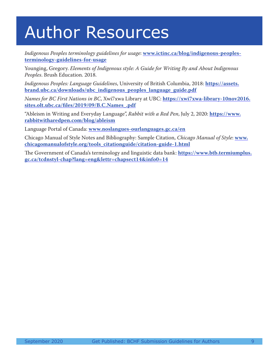### Author Resources

*Indigenous Peoples terminology guidelines for usage*: **www.ictinc.ca/blog/indigenous-peoplesterminology-guidelines-for-usage**

Younging, Gregory. *Elements of Indigenous style: A Guide for Writing By and About Indigenous Peoples*. Brush Education. 2018.

*Indigenous Peoples: Language Guidelines*, University of British Columbia, 2018: **https://assets. brand.ubc.ca/downloads/ubc\_indigenous\_peoples\_language\_guide.pdf**

*Names for BC First Nations in BC*, Xwi7xwa Library at UBC: **https://xwi7xwa-library-10nov2016. sites.olt.ubc.ca/files/2019/09/B.C.Names\_.pdf**

"Ableism in Writing and Everyday Language", *Rabbit with a Red Pen*, July 2, 2020: **https://www. rabbitwitharedpen.com/blog/ableism**

Language Portal of Canada: **www.noslangues-ourlanguages.gc.ca/en**

Chicago Manual of Style Notes and Bibliography: Sample Citation, *Chicago Manual of Style*: **www. chicagomanualofstyle.org/tools\_citationguide/citation-guide-1.html**

The Government of Canada's terminology and linguistic data bank: **https://www.btb.termiumplus. gc.ca/tcdnstyl-chap?lang=eng&lettr=chapsect14&info0=14**